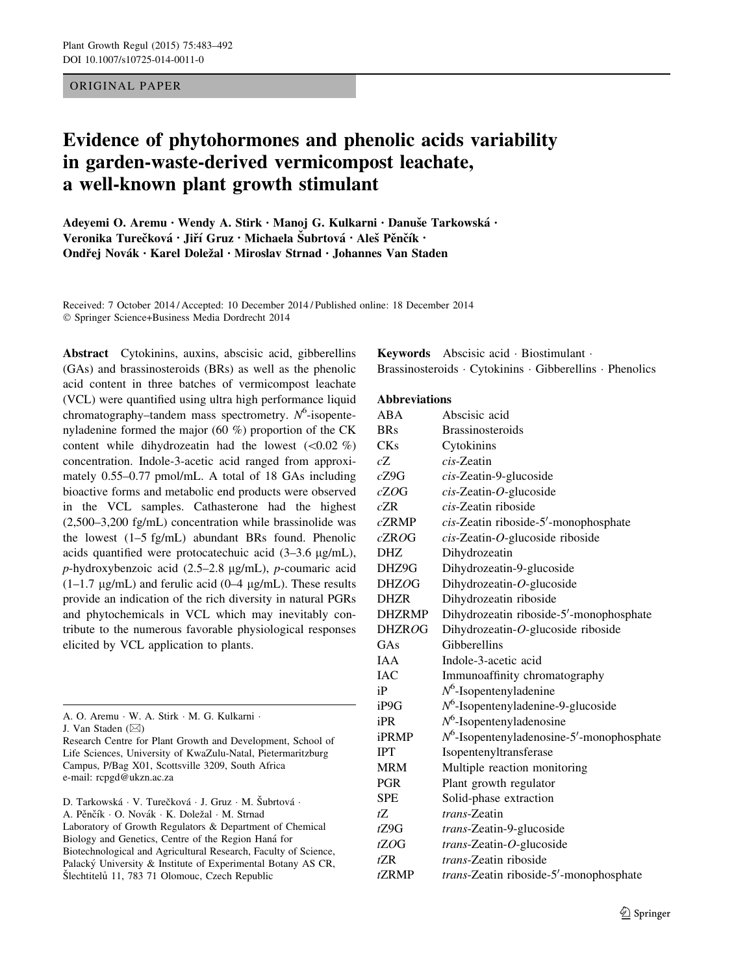ORIGINAL PAPER

# Evidence of phytohormones and phenolic acids variability in garden-waste-derived vermicompost leachate, a well-known plant growth stimulant

Adeyemi O. Aremu • Wendy A. Stirk • Manoj G. Kulkarni • Danuše Tarkowská • Veronika Turečková • Jiří Gruz • Michaela Šubrtová • Aleš Pěnčík • Ondřej Novák • Karel Doležal • Miroslav Strnad • Johannes Van Staden

Received: 7 October 2014 / Accepted: 10 December 2014 / Published online: 18 December 2014 - Springer Science+Business Media Dordrecht 2014

Abstract Cytokinins, auxins, abscisic acid, gibberellins (GAs) and brassinosteroids (BRs) as well as the phenolic acid content in three batches of vermicompost leachate (VCL) were quantified using ultra high performance liquid chromatography-tandem mass spectrometry.  $N^6$ -isopentenyladenine formed the major (60 %) proportion of the CK content while dihydrozeatin had the lowest  $(<0.02 \%$ )concentration. Indole-3-acetic acid ranged from approximately 0.55–0.77 pmol/mL. A total of 18 GAs including bioactive forms and metabolic end products were observed in the VCL samples. Cathasterone had the highest (2,500–3,200 fg/mL) concentration while brassinolide was the lowest (1–5 fg/mL) abundant BRs found. Phenolic acids quantified were protocatechuic acid  $(3-3.6 \text{ µg/mL})$ ,  $p$ -hydroxybenzoic acid (2.5–2.8 µg/mL), p-coumaric acid  $(1-1.7 \mu g/mL)$  and ferulic acid  $(0-4 \mu g/mL)$ . These results provide an indication of the rich diversity in natural PGRs and phytochemicals in VCL which may inevitably contribute to the numerous favorable physiological responses elicited by VCL application to plants.

|  |  |  |  |  |  |  |  |  | A. O. Aremu · W. A. Stirk · M. G. Kulkarni · |  |
|--|--|--|--|--|--|--|--|--|----------------------------------------------|--|
|--|--|--|--|--|--|--|--|--|----------------------------------------------|--|

J. Van Staden  $(\boxtimes)$ 

Research Centre for Plant Growth and Development, School of Life Sciences, University of KwaZulu-Natal, Pietermaritzburg Campus, P/Bag X01, Scottsville 3209, South Africa e-mail: rcpgd@ukzn.ac.za

D. Tarkowská · V. Turečková · J. Gruz · M. Šubrtová · A. Pěnčík · O. Novák · K. Doležal · M. Strnad Laboratory of Growth Regulators & Department of Chemical Biology and Genetics, Centre of the Region Haná for Biotechnological and Agricultural Research, Faculty of Science, Palacký University & Institute of Experimental Botany AS CR, Šlechtitelů 11, 783 71 Olomouc, Czech Republic

Keywords Abscisic acid - Biostimulant - Brassinosteroids - Cytokinins - Gibberellins - Phenolics

#### **Abbreviations**

| ABA              | Abscisic acid                                |
|------------------|----------------------------------------------|
| <b>BRs</b>       | <b>Brassinosteroids</b>                      |
| <b>CKs</b>       | Cytokinins                                   |
| cΖ               | $cis$ -Zeatin                                |
| cZ9G             | cis-Zeatin-9-glucoside                       |
| cZOG             | $cis$ -Zeatin-O-glucoside                    |
| cZR              | cis-Zeatin riboside                          |
| cZRMP            | cis-Zeatin riboside-5'-monophosphate         |
| cZROG            | cis-Zeatin-O-glucoside riboside              |
| DHZ              | Dihydrozeatin                                |
| DHZ9G            | Dihydrozeatin-9-glucoside                    |
| <b>DHZOG</b>     | Dihydrozeatin-O-glucoside                    |
| <b>DHZR</b>      | Dihydrozeatin riboside                       |
| <b>DHZRMP</b>    | Dihydrozeatin riboside-5'-monophosphate      |
| <b>DHZROG</b>    | Dihydrozeatin-O-glucoside riboside           |
| GAs              | Gibberellins                                 |
| <b>IAA</b>       | Indole-3-acetic acid                         |
| <b>IAC</b>       | Immunoaffinity chromatography                |
| iP               | $N^6$ -Isopentenyladenine                    |
| iP9G             | $N^6$ -Isopentenyladenine-9-glucoside        |
| iPR              | $N^6$ -Isopentenyladenosine                  |
| iPRMP            | $N^6$ -Isopentenyladenosine-5'-monophosphate |
| <b>IPT</b>       | Isopentenyltransferase                       |
| <b>MRM</b>       | Multiple reaction monitoring                 |
| <b>PGR</b>       | Plant growth regulator                       |
| <b>SPE</b>       | Solid-phase extraction                       |
| ťΖ.              | trans-Zeatin                                 |
| tZ9G             | trans-Zeatin-9-glucoside                     |
| tZOG             | trans-Zeatin-O-glucoside                     |
| $t\overline{ZR}$ | <i>trans-Zeatin riboside</i>                 |
| tZRMP            | trans-Zeatin riboside-5'-monophosphate       |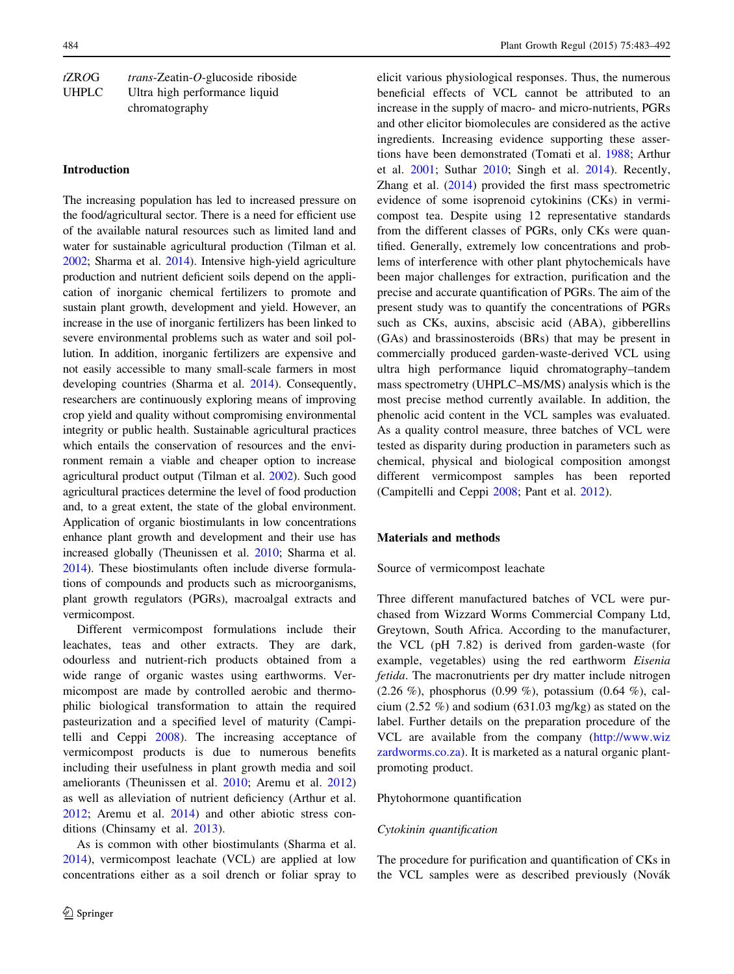| tZROG        | $trans-Zeatin-O-glucoside riboside$ |
|--------------|-------------------------------------|
| <b>UHPLC</b> | Ultra high performance liquid       |
|              | chromatography                      |

# Introduction

The increasing population has led to increased pressure on the food/agricultural sector. There is a need for efficient use of the available natural resources such as limited land and water for sustainable agricultural production (Tilman et al. [2002;](#page-9-0) Sharma et al. [2014](#page-9-0)). Intensive high-yield agriculture production and nutrient deficient soils depend on the application of inorganic chemical fertilizers to promote and sustain plant growth, development and yield. However, an increase in the use of inorganic fertilizers has been linked to severe environmental problems such as water and soil pollution. In addition, inorganic fertilizers are expensive and not easily accessible to many small-scale farmers in most developing countries (Sharma et al. [2014\)](#page-9-0). Consequently, researchers are continuously exploring means of improving crop yield and quality without compromising environmental integrity or public health. Sustainable agricultural practices which entails the conservation of resources and the environment remain a viable and cheaper option to increase agricultural product output (Tilman et al. [2002\)](#page-9-0). Such good agricultural practices determine the level of food production and, to a great extent, the state of the global environment. Application of organic biostimulants in low concentrations enhance plant growth and development and their use has increased globally (Theunissen et al. [2010](#page-9-0); Sharma et al. [2014\)](#page-9-0). These biostimulants often include diverse formulations of compounds and products such as microorganisms, plant growth regulators (PGRs), macroalgal extracts and vermicompost.

Different vermicompost formulations include their leachates, teas and other extracts. They are dark, odourless and nutrient-rich products obtained from a wide range of organic wastes using earthworms. Vermicompost are made by controlled aerobic and thermophilic biological transformation to attain the required pasteurization and a specified level of maturity (Campitelli and Ceppi [2008](#page-8-0)). The increasing acceptance of vermicompost products is due to numerous benefits including their usefulness in plant growth media and soil ameliorants (Theunissen et al. [2010;](#page-9-0) Aremu et al. [2012\)](#page-8-0) as well as alleviation of nutrient deficiency (Arthur et al. [2012;](#page-8-0) Aremu et al. [2014\)](#page-8-0) and other abiotic stress conditions (Chinsamy et al. [2013](#page-8-0)).

As is common with other biostimulants (Sharma et al. [2014\)](#page-9-0), vermicompost leachate (VCL) are applied at low concentrations either as a soil drench or foliar spray to elicit various physiological responses. Thus, the numerous beneficial effects of VCL cannot be attributed to an increase in the supply of macro- and micro-nutrients, PGRs and other elicitor biomolecules are considered as the active ingredients. Increasing evidence supporting these assertions have been demonstrated (Tomati et al. [1988](#page-9-0); Arthur et al. [2001](#page-8-0); Suthar [2010](#page-9-0); Singh et al. [2014](#page-9-0)). Recently, Zhang et al. ([2014\)](#page-9-0) provided the first mass spectrometric evidence of some isoprenoid cytokinins (CKs) in vermicompost tea. Despite using 12 representative standards from the different classes of PGRs, only CKs were quantified. Generally, extremely low concentrations and problems of interference with other plant phytochemicals have been major challenges for extraction, purification and the precise and accurate quantification of PGRs. The aim of the present study was to quantify the concentrations of PGRs such as CKs, auxins, abscisic acid (ABA), gibberellins (GAs) and brassinosteroids (BRs) that may be present in commercially produced garden-waste-derived VCL using ultra high performance liquid chromatography–tandem mass spectrometry (UHPLC–MS/MS) analysis which is the most precise method currently available. In addition, the phenolic acid content in the VCL samples was evaluated. As a quality control measure, three batches of VCL were tested as disparity during production in parameters such as chemical, physical and biological composition amongst different vermicompost samples has been reported (Campitelli and Ceppi [2008](#page-8-0); Pant et al. [2012](#page-8-0)).

# Materials and methods

Source of vermicompost leachate

Three different manufactured batches of VCL were purchased from Wizzard Worms Commercial Company Ltd, Greytown, South Africa. According to the manufacturer, the VCL (pH 7.82) is derived from garden-waste (for example, vegetables) using the red earthworm Eisenia fetida. The macronutrients per dry matter include nitrogen (2.26 %), phosphorus (0.99 %), potassium (0.64 %), calcium (2.52 %) and sodium (631.03 mg/kg) as stated on the label. Further details on the preparation procedure of the VCL are available from the company ([http://www.wiz](http://www.wizzardworms.co.za) [zardworms.co.za\)](http://www.wizzardworms.co.za). It is marketed as a natural organic plantpromoting product.

# Phytohormone quantification

#### Cytokinin quantification

The procedure for purification and quantification of CKs in the VCL samples were as described previously (Novák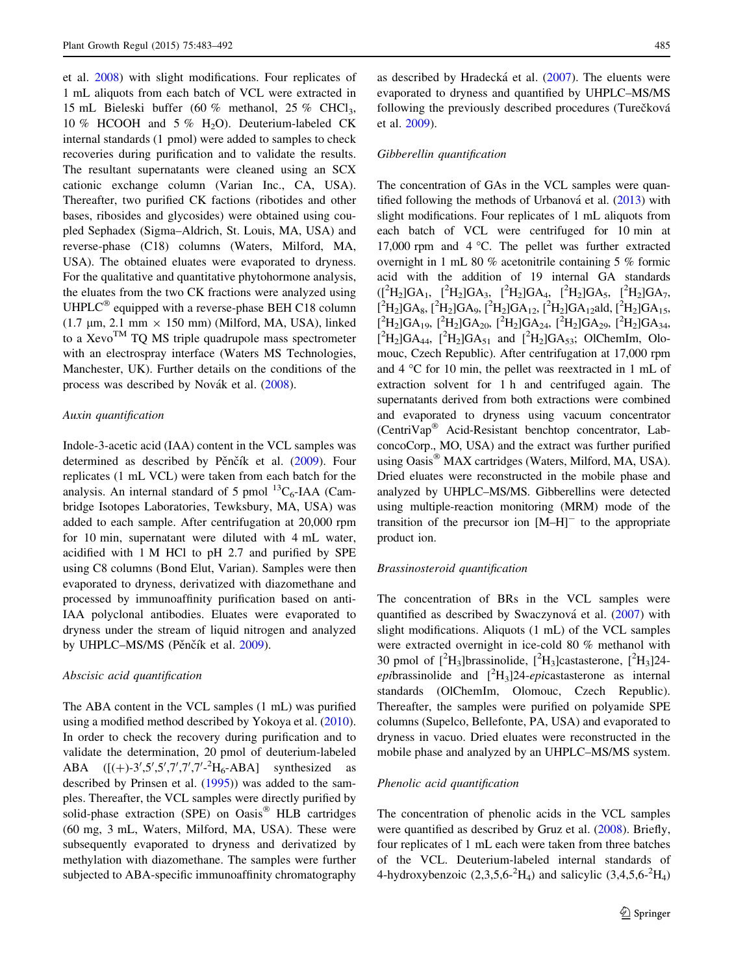et al. [2008\)](#page-8-0) with slight modifications. Four replicates of 1 mL aliquots from each batch of VCL were extracted in 15 mL Bieleski buffer (60 % methanol, 25 % CHCl3, 10 % HCOOH and 5 % H2O). Deuterium-labeled CK internal standards (1 pmol) were added to samples to check recoveries during purification and to validate the results. The resultant supernatants were cleaned using an SCX cationic exchange column (Varian Inc., CA, USA). Thereafter, two purified CK factions (ribotides and other bases, ribosides and glycosides) were obtained using coupled Sephadex (Sigma–Aldrich, St. Louis, MA, USA) and reverse-phase (C18) columns (Waters, Milford, MA, USA). The obtained eluates were evaporated to dryness. For the qualitative and quantitative phytohormone analysis, the eluates from the two CK fractions were analyzed using UHPL $C^{\otimes}$  equipped with a reverse-phase BEH C18 column (1.7  $\mu$ m, 2.1 mm  $\times$  150 mm) (Milford, MA, USA), linked to a  $Xevo^{TM}$  TQ MS triple quadrupole mass spectrometer with an electrospray interface (Waters MS Technologies, Manchester, UK). Further details on the conditions of the process was described by Novák et al. [\(2008\)](#page-8-0).

# Auxin quantification

Indole-3-acetic acid (IAA) content in the VCL samples was determined as described by Pěnčík et al. ([2009\)](#page-9-0). Four replicates (1 mL VCL) were taken from each batch for the analysis. An internal standard of 5 pmol  ${}^{13}C_6$ -IAA (Cambridge Isotopes Laboratories, Tewksbury, MA, USA) was added to each sample. After centrifugation at 20,000 rpm for 10 min, supernatant were diluted with 4 mL water, acidified with 1 M HCl to pH 2.7 and purified by SPE using C8 columns (Bond Elut, Varian). Samples were then evaporated to dryness, derivatized with diazomethane and processed by immunoaffinity purification based on anti-IAA polyclonal antibodies. Eluates were evaporated to dryness under the stream of liquid nitrogen and analyzed by UHPLC–MS/MS (Pěnčík et al. [2009](#page-9-0)).

#### Abscisic acid quantification

The ABA content in the VCL samples (1 mL) was purified using a modified method described by Yokoya et al. [\(2010](#page-9-0)). In order to check the recovery during purification and to validate the determination, 20 pmol of deuterium-labeled ABA  $([ (+)-3', 5', 7', 7', 7' - ^2H_6 - ABA]$  synthesized as described by Prinsen et al. ([1995\)](#page-9-0)) was added to the samples. Thereafter, the VCL samples were directly purified by solid-phase extraction (SPE) on  $\text{Oasis}^{\circledR}$  HLB cartridges (60 mg, 3 mL, Waters, Milford, MA, USA). These were subsequently evaporated to dryness and derivatized by methylation with diazomethane. The samples were further subjected to ABA-specific immunoaffinity chromatography

as described by Hradecká et al. ([2007\)](#page-8-0). The eluents were evaporated to dryness and quantified by UHPLC–MS/MS following the previously described procedures (Turečková et al. [2009](#page-9-0)).

### Gibberellin quantification

The concentration of GAs in the VCL samples were quantified following the methods of Urbanová et al.  $(2013)$  $(2013)$  $(2013)$  with slight modifications. Four replicates of 1 mL aliquots from each batch of VCL were centrifuged for 10 min at 17,000 rpm and  $4 °C$ . The pellet was further extracted overnight in 1 mL 80 % acetonitrile containing 5 % formic acid with the addition of 19 internal GA standards  $({}^{2}H_{2}]{GA}_{1}$ ,  $[{}^{2}H_{2}]{GA}_{3}$ ,  $[{}^{2}H_{2}]{GA}_{4}$ ,  $[{}^{2}H_{2}]{GA}_{5}$ ,  $[{}^{2}H_{2}]{GA}_{7}$ ,  $[^{2}H_{2}]GA_{8}$ ,  $[^{2}H_{2}]GA_{9}$ ,  $[^{2}H_{2}]GA_{12}$ ,  $[^{2}H_{2}]GA_{12}$ ald,  $[^{2}H_{2}]GA_{15}$ ,  $[^{2}H_{2}]GA_{19}$ ,  $[^{2}H_{2}]GA_{20}$ ,  $[^{2}H_{2}]GA_{24}$ ,  $[^{2}H_{2}]GA_{29}$ ,  $[^{2}H_{2}]GA_{34}$ ,  $[^{2}H_{2}]GA_{44}$ ,  $[^{2}H_{2}]GA_{51}$  and  $[^{2}H_{2}]GA_{53}$ ; OlChemIm, Olomouc, Czech Republic). After centrifugation at 17,000 rpm and  $4^{\circ}$ C for 10 min, the pellet was reextracted in 1 mL of extraction solvent for 1 h and centrifuged again. The supernatants derived from both extractions were combined and evaporated to dryness using vacuum concentrator  $(CentriVar^{\otimes}$  Acid-Resistant benchtop concentrator, LabconcoCorp., MO, USA) and the extract was further purified using Oasis<sup>®</sup> MAX cartridges (Waters, Milford, MA, USA). Dried eluates were reconstructed in the mobile phase and analyzed by UHPLC–MS/MS. Gibberellins were detected using multiple-reaction monitoring (MRM) mode of the transition of the precursor ion  $[M-H]$ <sup>-</sup> to the appropriate product ion.

#### Brassinosteroid quantification

The concentration of BRs in the VCL samples were quantified as described by Swaczynová et al.  $(2007)$  $(2007)$  $(2007)$  with slight modifications. Aliquots (1 mL) of the VCL samples were extracted overnight in ice-cold 80 % methanol with 30 pmol of  $[^{2}H_{3}]$ brassinolide,  $[^{2}H_{3}]$ castasterone,  $[^{2}H_{3}]$ 24epibrassinolide and  $[^{2}H_{3}]$ 24-epicastasterone as internal standards (OlChemIm, Olomouc, Czech Republic). Thereafter, the samples were purified on polyamide SPE columns (Supelco, Bellefonte, PA, USA) and evaporated to dryness in vacuo. Dried eluates were reconstructed in the mobile phase and analyzed by an UHPLC–MS/MS system.

#### Phenolic acid quantification

The concentration of phenolic acids in the VCL samples were quantified as described by Gruz et al. [\(2008](#page-8-0)). Briefly, four replicates of 1 mL each were taken from three batches of the VCL. Deuterium-labeled internal standards of 4-hydroxybenzoic  $(2,3,5,6^{-2}H_4)$  and salicylic  $(3,4,5,6^{-2}H_4)$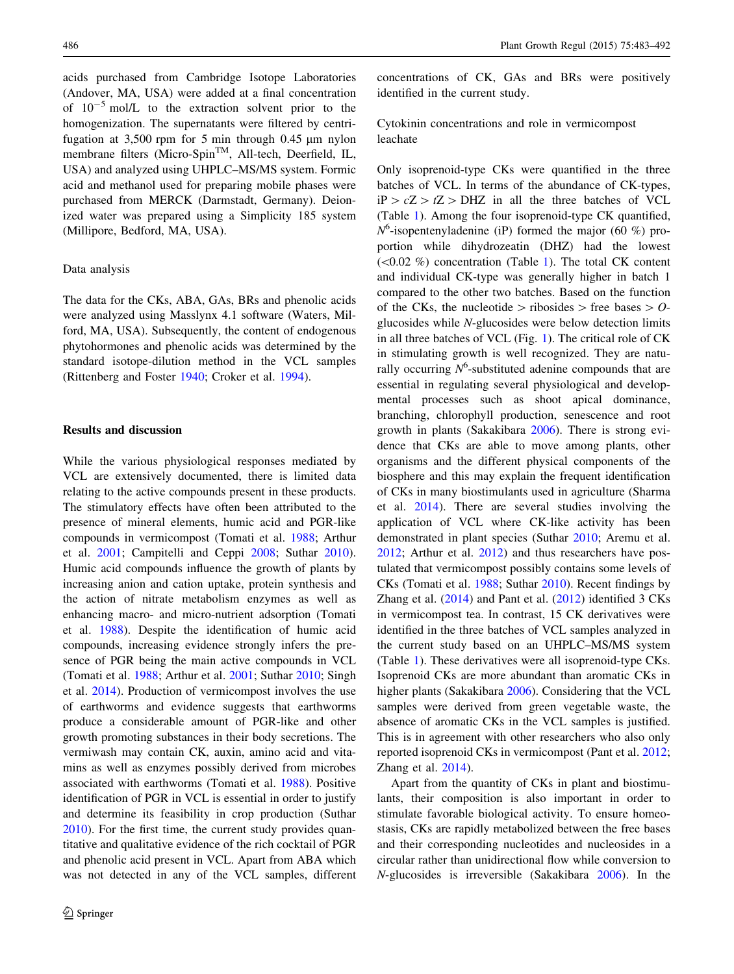acids purchased from Cambridge Isotope Laboratories (Andover, MA, USA) were added at a final concentration of  $10^{-5}$  mol/L to the extraction solvent prior to the homogenization. The supernatants were filtered by centrifugation at  $3,500$  rpm for 5 min through 0.45  $\mu$ m nylon membrane filters (Micro-Spin<sup>TM</sup>, All-tech, Deerfield, IL, USA) and analyzed using UHPLC–MS/MS system. Formic acid and methanol used for preparing mobile phases were purchased from MERCK (Darmstadt, Germany). Deionized water was prepared using a Simplicity 185 system (Millipore, Bedford, MA, USA).

# Data analysis

The data for the CKs, ABA, GAs, BRs and phenolic acids were analyzed using Masslynx 4.1 software (Waters, Milford, MA, USA). Subsequently, the content of endogenous phytohormones and phenolic acids was determined by the standard isotope-dilution method in the VCL samples (Rittenberg and Foster [1940;](#page-9-0) Croker et al. [1994\)](#page-8-0).

### Results and discussion

While the various physiological responses mediated by VCL are extensively documented, there is limited data relating to the active compounds present in these products. The stimulatory effects have often been attributed to the presence of mineral elements, humic acid and PGR-like compounds in vermicompost (Tomati et al. [1988;](#page-9-0) Arthur et al. [2001;](#page-8-0) Campitelli and Ceppi [2008;](#page-8-0) Suthar [2010](#page-9-0)). Humic acid compounds influence the growth of plants by increasing anion and cation uptake, protein synthesis and the action of nitrate metabolism enzymes as well as enhancing macro- and micro-nutrient adsorption (Tomati et al. [1988](#page-9-0)). Despite the identification of humic acid compounds, increasing evidence strongly infers the presence of PGR being the main active compounds in VCL (Tomati et al. [1988;](#page-9-0) Arthur et al. [2001;](#page-8-0) Suthar [2010](#page-9-0); Singh et al. [2014\)](#page-9-0). Production of vermicompost involves the use of earthworms and evidence suggests that earthworms produce a considerable amount of PGR-like and other growth promoting substances in their body secretions. The vermiwash may contain CK, auxin, amino acid and vitamins as well as enzymes possibly derived from microbes associated with earthworms (Tomati et al. [1988\)](#page-9-0). Positive identification of PGR in VCL is essential in order to justify and determine its feasibility in crop production (Suthar [2010\)](#page-9-0). For the first time, the current study provides quantitative and qualitative evidence of the rich cocktail of PGR and phenolic acid present in VCL. Apart from ABA which was not detected in any of the VCL samples, different concentrations of CK, GAs and BRs were positively identified in the current study.

Cytokinin concentrations and role in vermicompost leachate

Only isoprenoid-type CKs were quantified in the three batches of VCL. In terms of the abundance of CK-types,  $iP > cZ > tZ > DHZ$  in all the three batches of VCL (Table [1\)](#page-4-0). Among the four isoprenoid-type CK quantified,  $N^6$ -isopentenyladenine (iP) formed the major (60 %) proportion while dihydrozeatin (DHZ) had the lowest  $(<0.02$  %) concentration (Table [1\)](#page-4-0). The total CK content and individual CK-type was generally higher in batch 1 compared to the other two batches. Based on the function of the CKs, the nucleotide  $\geq$  ribosides  $\geq$  free bases  $\geq$  Oglucosides while N-glucosides were below detection limits in all three batches of VCL (Fig. [1\)](#page-4-0). The critical role of CK in stimulating growth is well recognized. They are naturally occurring  $N^6$ -substituted adenine compounds that are essential in regulating several physiological and developmental processes such as shoot apical dominance, branching, chlorophyll production, senescence and root growth in plants (Sakakibara [2006\)](#page-9-0). There is strong evidence that CKs are able to move among plants, other organisms and the different physical components of the biosphere and this may explain the frequent identification of CKs in many biostimulants used in agriculture (Sharma et al. [2014](#page-9-0)). There are several studies involving the application of VCL where CK-like activity has been demonstrated in plant species (Suthar [2010](#page-9-0); Aremu et al. [2012](#page-8-0); Arthur et al. [2012\)](#page-8-0) and thus researchers have postulated that vermicompost possibly contains some levels of CKs (Tomati et al. [1988;](#page-9-0) Suthar [2010\)](#page-9-0). Recent findings by Zhang et al. ([2014\)](#page-9-0) and Pant et al. ([2012\)](#page-8-0) identified 3 CKs in vermicompost tea. In contrast, 15 CK derivatives were identified in the three batches of VCL samples analyzed in the current study based on an UHPLC–MS/MS system (Table [1\)](#page-4-0). These derivatives were all isoprenoid-type CKs. Isoprenoid CKs are more abundant than aromatic CKs in higher plants (Sakakibara [2006](#page-9-0)). Considering that the VCL samples were derived from green vegetable waste, the absence of aromatic CKs in the VCL samples is justified. This is in agreement with other researchers who also only reported isoprenoid CKs in vermicompost (Pant et al. [2012](#page-8-0); Zhang et al. [2014\)](#page-9-0).

Apart from the quantity of CKs in plant and biostimulants, their composition is also important in order to stimulate favorable biological activity. To ensure homeostasis, CKs are rapidly metabolized between the free bases and their corresponding nucleotides and nucleosides in a circular rather than unidirectional flow while conversion to N-glucosides is irreversible (Sakakibara [2006\)](#page-9-0). In the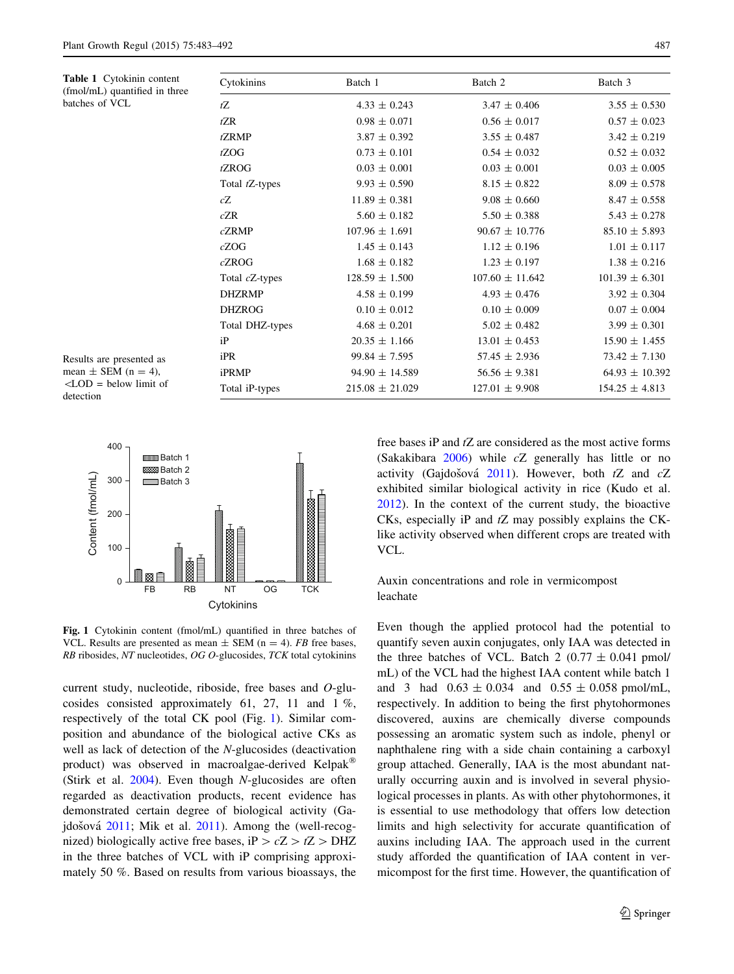<span id="page-4-0"></span>Table 1 Cytokinin content (fmol/mL) quantified in three

batches of VCL

| Cytokinins      | Batch 1             | Batch 2             | Batch 3            |  |
|-----------------|---------------------|---------------------|--------------------|--|
| tZ              | $4.33 \pm 0.243$    | $3.47 \pm 0.406$    | $3.55 \pm 0.530$   |  |
| tZR             | $0.98 \pm 0.071$    | $0.56 \pm 0.017$    | $0.57 \pm 0.023$   |  |
| <i>t</i> ZRMP   | $3.87 \pm 0.392$    | $3.55 \pm 0.487$    | $3.42 \pm 0.219$   |  |
| tZOG            | $0.73 \pm 0.101$    | $0.54 \pm 0.032$    | $0.52 \pm 0.032$   |  |
| tZROG           | $0.03 \pm 0.001$    | $0.03 \pm 0.001$    | $0.03 \pm 0.005$   |  |
| Total tZ-types  | $9.93 \pm 0.590$    | $8.15 \pm 0.822$    | $8.09 \pm 0.578$   |  |
| cZ              | $11.89 \pm 0.381$   | $9.08 \pm 0.660$    | $8.47 \pm 0.558$   |  |
| cZR             | $5.60 \pm 0.182$    | $5.50 \pm 0.388$    | $5.43 \pm 0.278$   |  |
| cZRMP           | $107.96 \pm 1.691$  | $90.67 \pm 10.776$  | $85.10 \pm 5.893$  |  |
| cZOG            | $1.45 \pm 0.143$    | $1.12 \pm 0.196$    | $1.01 \pm 0.117$   |  |
| cZROG           | $1.68 \pm 0.182$    | $1.23 \pm 0.197$    | $1.38 \pm 0.216$   |  |
| Total cZ-types  | $128.59 \pm 1.500$  | $107.60 \pm 11.642$ | $101.39 \pm 6.301$ |  |
| <b>DHZRMP</b>   | $4.58 \pm 0.199$    | $4.93 \pm 0.476$    | $3.92 \pm 0.304$   |  |
| <b>DHZROG</b>   | $0.10 \pm 0.012$    | $0.10 \pm 0.009$    | $0.07 \pm 0.004$   |  |
| Total DHZ-types | $4.68 \pm 0.201$    | $5.02 \pm 0.482$    | $3.99 \pm 0.301$   |  |
| iP              | $20.35 \pm 1.166$   | $13.01 \pm 0.453$   | $15.90 \pm 1.455$  |  |
| iPR             | $99.84 \pm 7.595$   | $57.45 \pm 2.936$   | $73.42 \pm 7.130$  |  |
| iPRMP           | $94.90 \pm 14.589$  | $56.56 \pm 9.381$   | $64.93 \pm 10.392$ |  |
| Total iP-types  | $215.08 \pm 21.029$ | $127.01 \pm 9.908$  | $154.25 \pm 4.813$ |  |

Results are presented as mean  $\pm$  SEM (n = 4),  $\langle$ LOD = below limit of detection



Fig. 1 Cytokinin content (fmol/mL) quantified in three batches of VCL. Results are presented as mean  $\pm$  SEM (n = 4). FB free bases, RB ribosides, NT nucleotides, OG O-glucosides, TCK total cytokinins

current study, nucleotide, riboside, free bases and  $O$ -glucosides consisted approximately 61, 27, 11 and 1 %, respectively of the total CK pool (Fig. 1). Similar composition and abundance of the biological active CKs as well as lack of detection of the N-glucosides (deactivation product) was observed in macroalgae-derived Kelpak (Stirk et al. [2004](#page-9-0)). Even though N-glucosides are often regarded as deactivation products, recent evidence has demonstrated certain degree of biological activity (Ga-jdošová [2011](#page-8-0); Mik et al. 2011). Among the (well-recognized) biologically active free bases, iP  $> cZ > tZ > DHZ$ in the three batches of VCL with iP comprising approximately 50 %. Based on results from various bioassays, the free bases  $iP$  and  $tZ$  are considered as the most active forms (Sakakibara [2006\)](#page-9-0) while cZ generally has little or no activity (Gajdošová [2011](#page-8-0)). However, both  $tZ$  and  $cZ$ exhibited similar biological activity in rice (Kudo et al. [2012](#page-8-0)). In the context of the current study, the bioactive CKs, especially iP and  $tZ$  may possibly explains the CKlike activity observed when different crops are treated with VCL.

Auxin concentrations and role in vermicompost leachate

Even though the applied protocol had the potential to quantify seven auxin conjugates, only IAA was detected in the three batches of VCL. Batch 2 (0.77  $\pm$  0.041 pmol/ mL) of the VCL had the highest IAA content while batch 1 and 3 had  $0.63 \pm 0.034$  and  $0.55 \pm 0.058$  pmol/mL, respectively. In addition to being the first phytohormones discovered, auxins are chemically diverse compounds possessing an aromatic system such as indole, phenyl or naphthalene ring with a side chain containing a carboxyl group attached. Generally, IAA is the most abundant naturally occurring auxin and is involved in several physiological processes in plants. As with other phytohormones, it is essential to use methodology that offers low detection limits and high selectivity for accurate quantification of auxins including IAA. The approach used in the current study afforded the quantification of IAA content in vermicompost for the first time. However, the quantification of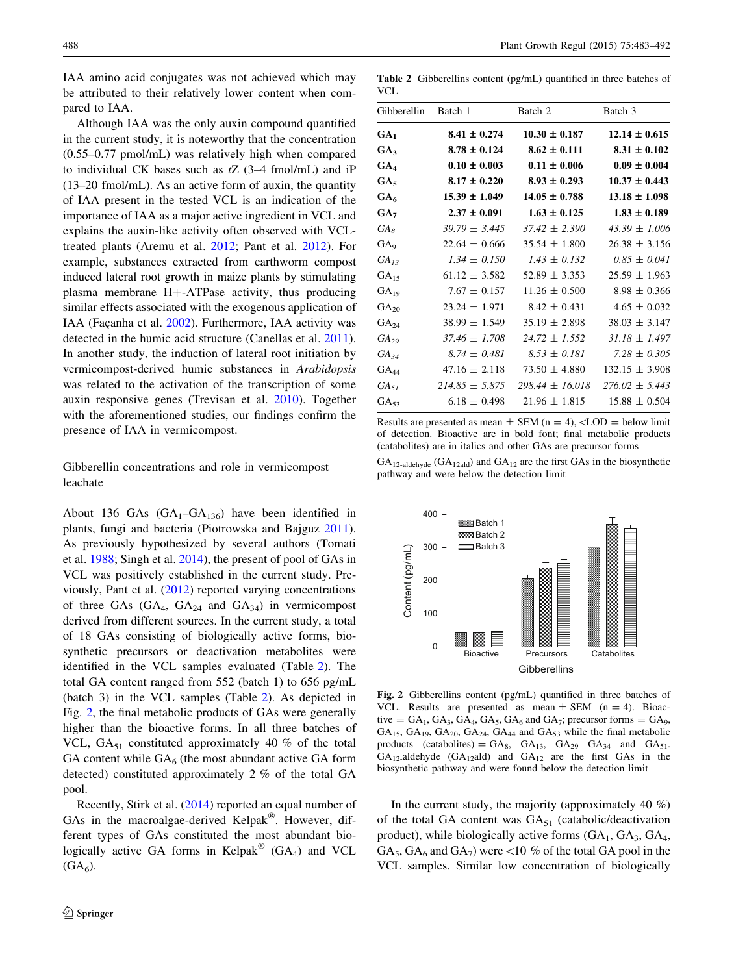<span id="page-5-0"></span>IAA amino acid conjugates was not achieved which may be attributed to their relatively lower content when compared to IAA.

Although IAA was the only auxin compound quantified in the current study, it is noteworthy that the concentration (0.55–0.77 pmol/mL) was relatively high when compared to individual CK bases such as  $tZ$  (3–4 fmol/mL) and iP (13–20 fmol/mL). As an active form of auxin, the quantity of IAA present in the tested VCL is an indication of the importance of IAA as a major active ingredient in VCL and explains the auxin-like activity often observed with VCLtreated plants (Aremu et al. [2012](#page-8-0); Pant et al. [2012](#page-8-0)). For example, substances extracted from earthworm compost induced lateral root growth in maize plants by stimulating plasma membrane  $H + -ATP$ ase activity, thus producing similar effects associated with the exogenous application of IAA (Façanha et al. [2002\)](#page-8-0). Furthermore, IAA activity was detected in the humic acid structure (Canellas et al. [2011](#page-8-0)). In another study, the induction of lateral root initiation by vermicompost-derived humic substances in Arabidopsis was related to the activation of the transcription of some auxin responsive genes (Trevisan et al. [2010](#page-9-0)). Together with the aforementioned studies, our findings confirm the presence of IAA in vermicompost.

# Gibberellin concentrations and role in vermicompost leachate

About 136 GAs  $(GA_1-GA_{136})$  have been identified in plants, fungi and bacteria (Piotrowska and Bajguz [2011](#page-9-0)). As previously hypothesized by several authors (Tomati et al. [1988;](#page-9-0) Singh et al. [2014](#page-9-0)), the present of pool of GAs in VCL was positively established in the current study. Previously, Pant et al. ([2012\)](#page-8-0) reported varying concentrations of three GAs  $(GA_4, GA_{24}$  and  $GA_{34}$ ) in vermicompost derived from different sources. In the current study, a total of 18 GAs consisting of biologically active forms, biosynthetic precursors or deactivation metabolites were identified in the VCL samples evaluated (Table 2). The total GA content ranged from 552 (batch 1) to 656 pg/mL (batch 3) in the VCL samples (Table 2). As depicted in Fig. 2, the final metabolic products of GAs were generally higher than the bioactive forms. In all three batches of VCL,  $GA_{51}$  constituted approximately 40 % of the total GA content while  $GA_6$  (the most abundant active GA form detected) constituted approximately 2 % of the total GA pool.

Recently, Stirk et al. [\(2014](#page-9-0)) reported an equal number of GAs in the macroalgae-derived Kelpak<sup>®</sup>. However, different types of GAs constituted the most abundant biologically active GA forms in Kelpak<sup>®</sup> (GA<sub>4</sub>) and VCL  $(GA<sub>6</sub>)$ .

Table 2 Gibberellins content (pg/mL) quantified in three batches of  $VCI$ 

| Gibberellin Batch 1 |                    | Batch 2             | Batch 3            |
|---------------------|--------------------|---------------------|--------------------|
| GA <sub>1</sub>     | $8.41 \pm 0.274$   | $10.30 \pm 0.187$   | $12.14 \pm 0.615$  |
| GA3                 | $8.78 \pm 0.124$   | $8.62 \pm 0.111$    | $8.31 \pm 0.102$   |
| GA4                 | $0.10 \pm 0.003$   | $0.11 \pm 0.006$    | $0.09 \pm 0.004$   |
| $GA_5$              | $8.17 \pm 0.220$   | $8.93 \pm 0.293$    | $10.37 \pm 0.443$  |
| GA <sub>6</sub>     | $15.39 \pm 1.049$  | $14.05 \pm 0.788$   | $13.18 \pm 1.098$  |
| GA <sub>7</sub>     | $2.37 \pm 0.091$   | $1.63 \pm 0.125$    | $1.83 \pm 0.189$   |
| $GA_s$              | $39.79 \pm 3.445$  | $37.42 \pm 2.390$   | $43.39 \pm 1.006$  |
| GA <sub>9</sub>     | $22.64 \pm 0.666$  | $35.54 \pm 1.800$   | $26.38 \pm 3.156$  |
| $GA_{13}$           | $1.34 \pm 0.150$   | $1.43 \pm 0.132$    | $0.85 \pm 0.041$   |
| $GA_{15}$           | $61.12 \pm 3.582$  | $52.89 \pm 3.353$   | $25.59 \pm 1.963$  |
| $GA_{19}$           | $7.67 \pm 0.157$   | $11.26 \pm 0.500$   | $8.98 \pm 0.366$   |
| $GA_{20}$           | $23.24 \pm 1.971$  | $8.42 \pm 0.431$    | $4.65 \pm 0.032$   |
| $GA_{24}$           | $38.99 \pm 1.549$  | $35.19 \pm 2.898$   | $38.03 \pm 3.147$  |
| $GA_{29}$           | $37.46 \pm 1.708$  | $24.72 \pm 1.552$   | $31.18 \pm 1.497$  |
| $GA_{34}$           | $8.74 \pm 0.481$   | $8.53 \pm 0.181$    | $7.28 \pm 0.305$   |
| $\rm GA_{44}$       | $47.16 \pm 2.118$  | $73.50 \pm 4.880$   | $132.15 \pm 3.908$ |
| $GA_{51}$           | $214.85 \pm 5.875$ | $298.44 \pm 16.018$ | $276.02 \pm 5.443$ |
| $GA_{53}$           | $6.18 \pm 0.498$   | $21.96 \pm 1.815$   | $15.88 \pm 0.504$  |

Results are presented as mean  $\pm$  SEM (n = 4),  $\lt$ LOD = below limit of detection. Bioactive are in bold font; final metabolic products (catabolites) are in italics and other GAs are precursor forms

 $GA_{12\text{-aldehyde}}$  (GA<sub>12ald</sub>) and GA<sub>12</sub> are the first GAs in the biosynthetic pathway and were below the detection limit



Fig. 2 Gibberellins content (pg/mL) quantified in three batches of VCL. Results are presented as mean  $\pm$  SEM (n = 4). Bioactive =  $GA_1$ ,  $GA_3$ ,  $GA_4$ ,  $GA_5$ ,  $GA_6$  and  $GA_7$ ; precursor forms =  $GA_9$ ,  $GA_{15}$ ,  $GA_{19}$ ,  $GA_{20}$ ,  $GA_{24}$ ,  $GA_{44}$  and  $GA_{53}$  while the final metabolic products (catabolites) =  $GA_8$ ,  $GA_{13}$ ,  $GA_{29}$   $GA_{34}$  and  $GA_{51}$ .  $GA_{12}$ -aldehyde  $(GA_{12}$ ald) and  $GA_{12}$  are the first  $GAs$  in the biosynthetic pathway and were found below the detection limit

In the current study, the majority (approximately 40  $\%$ ) of the total GA content was  $GA_{51}$  (catabolic/deactivation product), while biologically active forms  $(GA_1, GA_3, GA_4,$ GA<sub>5</sub>, GA<sub>6</sub> and GA<sub>7</sub>) were <10 % of the total GA pool in the VCL samples. Similar low concentration of biologically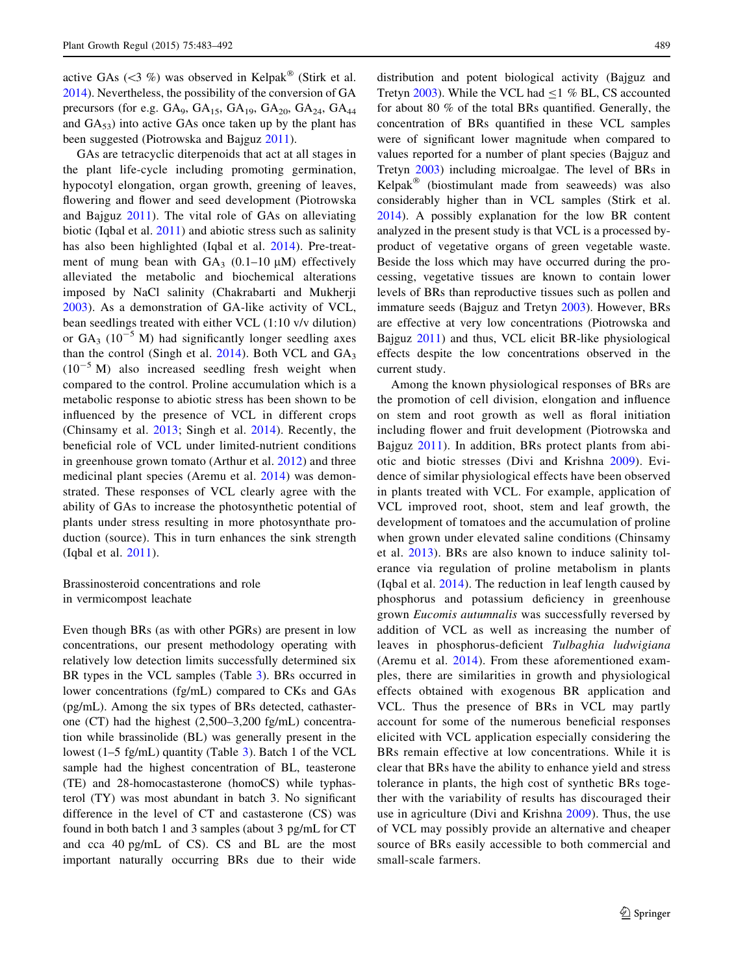active GAs  $(\leq 3 \%)$  was observed in Kelpak<sup>®</sup> (Stirk et al. [2014\)](#page-9-0). Nevertheless, the possibility of the conversion of GA precursors (for e.g.  $GA_9$ ,  $GA_{15}$ ,  $GA_{19}$ ,  $GA_{20}$ ,  $GA_{24}$ ,  $GA_{44}$ and  $GA_{53}$ ) into active GAs once taken up by the plant has been suggested (Piotrowska and Bajguz [2011](#page-9-0)).

GAs are tetracyclic diterpenoids that act at all stages in the plant life-cycle including promoting germination, hypocotyl elongation, organ growth, greening of leaves, flowering and flower and seed development (Piotrowska and Bajguz [2011](#page-9-0)). The vital role of GAs on alleviating biotic (Iqbal et al. [2011](#page-8-0)) and abiotic stress such as salinity has also been highlighted (Iqbal et al. [2014](#page-8-0)). Pre-treatment of mung bean with  $GA_3$  (0.1–10  $\mu$ M) effectively alleviated the metabolic and biochemical alterations imposed by NaCl salinity (Chakrabarti and Mukherji [2003](#page-8-0)). As a demonstration of GA-like activity of VCL, bean seedlings treated with either VCL (1:10 v/v dilution) or  $GA_3$  (10<sup>-5</sup> M) had significantly longer seedling axes than the control (Singh et al. [2014](#page-9-0)). Both VCL and  $GA_3$  $(10^{-5}$  M) also increased seedling fresh weight when compared to the control. Proline accumulation which is a metabolic response to abiotic stress has been shown to be influenced by the presence of VCL in different crops (Chinsamy et al. [2013;](#page-8-0) Singh et al. [2014](#page-9-0)). Recently, the beneficial role of VCL under limited-nutrient conditions in greenhouse grown tomato (Arthur et al. [2012\)](#page-8-0) and three medicinal plant species (Aremu et al. [2014\)](#page-8-0) was demonstrated. These responses of VCL clearly agree with the ability of GAs to increase the photosynthetic potential of plants under stress resulting in more photosynthate production (source). This in turn enhances the sink strength (Iqbal et al. [2011](#page-8-0)).

Brassinosteroid concentrations and role in vermicompost leachate

Even though BRs (as with other PGRs) are present in low concentrations, our present methodology operating with relatively low detection limits successfully determined six BR types in the VCL samples (Table [3\)](#page-7-0). BRs occurred in lower concentrations (fg/mL) compared to CKs and GAs (pg/mL). Among the six types of BRs detected, cathasterone (CT) had the highest (2,500–3,200 fg/mL) concentration while brassinolide (BL) was generally present in the lowest (1–5 fg/mL) quantity (Table [3\)](#page-7-0). Batch 1 of the VCL sample had the highest concentration of BL, teasterone (TE) and 28-homocastasterone (homoCS) while typhasterol (TY) was most abundant in batch 3. No significant difference in the level of CT and castasterone (CS) was found in both batch 1 and 3 samples (about 3 pg/mL for CT and cca 40 pg/mL of CS). CS and BL are the most important naturally occurring BRs due to their wide distribution and potent biological activity (Bajguz and Tretyn [2003](#page-8-0)). While the VCL had  $\leq$ 1 % BL, CS accounted for about 80 % of the total BRs quantified. Generally, the concentration of BRs quantified in these VCL samples were of significant lower magnitude when compared to values reported for a number of plant species (Bajguz and Tretyn [2003](#page-8-0)) including microalgae. The level of BRs in  $Kelpak^{\otimes}$  (biostimulant made from seaweeds) was also considerably higher than in VCL samples (Stirk et al. [2014](#page-9-0)). A possibly explanation for the low BR content analyzed in the present study is that VCL is a processed byproduct of vegetative organs of green vegetable waste. Beside the loss which may have occurred during the processing, vegetative tissues are known to contain lower levels of BRs than reproductive tissues such as pollen and immature seeds (Bajguz and Tretyn [2003\)](#page-8-0). However, BRs are effective at very low concentrations (Piotrowska and Bajguz [2011](#page-9-0)) and thus, VCL elicit BR-like physiological effects despite the low concentrations observed in the current study.

Among the known physiological responses of BRs are the promotion of cell division, elongation and influence on stem and root growth as well as floral initiation including flower and fruit development (Piotrowska and Bajguz [2011\)](#page-9-0). In addition, BRs protect plants from abiotic and biotic stresses (Divi and Krishna [2009\)](#page-8-0). Evidence of similar physiological effects have been observed in plants treated with VCL. For example, application of VCL improved root, shoot, stem and leaf growth, the development of tomatoes and the accumulation of proline when grown under elevated saline conditions (Chinsamy et al. [2013](#page-8-0)). BRs are also known to induce salinity tolerance via regulation of proline metabolism in plants (Iqbal et al. [2014](#page-8-0)). The reduction in leaf length caused by phosphorus and potassium deficiency in greenhouse grown Eucomis autumnalis was successfully reversed by addition of VCL as well as increasing the number of leaves in phosphorus-deficient Tulbaghia ludwigiana (Aremu et al. [2014](#page-8-0)). From these aforementioned examples, there are similarities in growth and physiological effects obtained with exogenous BR application and VCL. Thus the presence of BRs in VCL may partly account for some of the numerous beneficial responses elicited with VCL application especially considering the BRs remain effective at low concentrations. While it is clear that BRs have the ability to enhance yield and stress tolerance in plants, the high cost of synthetic BRs together with the variability of results has discouraged their use in agriculture (Divi and Krishna [2009](#page-8-0)). Thus, the use of VCL may possibly provide an alternative and cheaper source of BRs easily accessible to both commercial and small-scale farmers.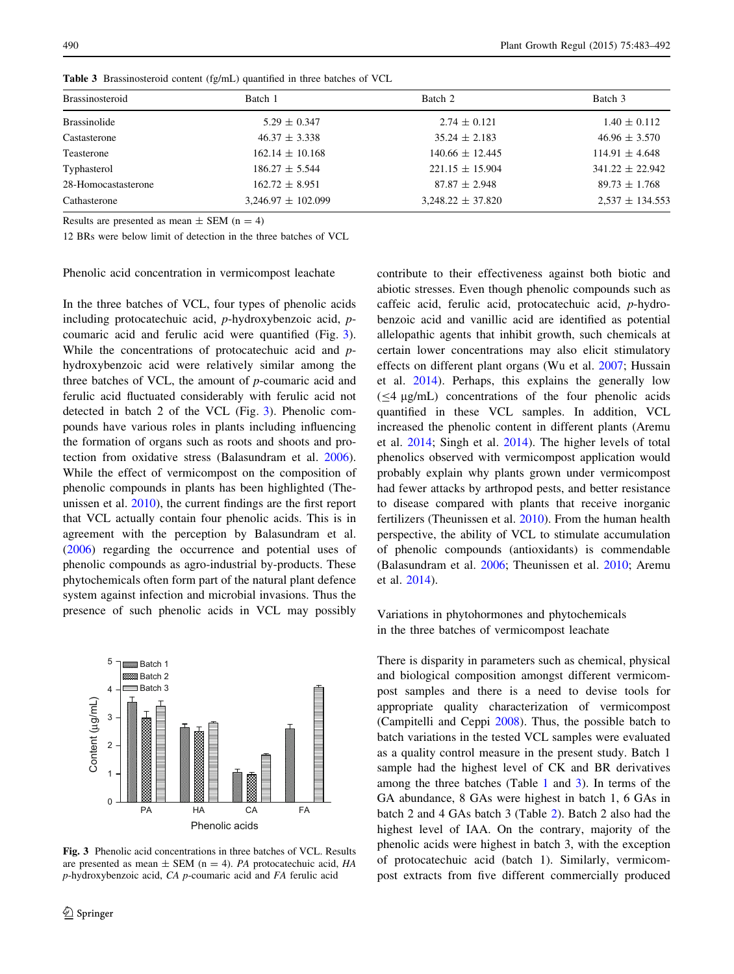| <b>Brassinosteroid</b> | Batch 1                | Batch 2               | Batch 3             |  |
|------------------------|------------------------|-----------------------|---------------------|--|
| <b>Brassinolide</b>    | $5.29 \pm 0.347$       | $2.74 \pm 0.121$      | $1.40 \pm 0.112$    |  |
| Castasterone           | $46.37 \pm 3.338$      | $35.24 \pm 2.183$     | $46.96 \pm 3.570$   |  |
| Teasterone             | $162.14 \pm 10.168$    | $140.66 \pm 12.445$   | $114.91 \pm 4.648$  |  |
| Typhasterol            | $186.27 \pm 5.544$     | $221.15 \pm 15.904$   | $341.22 \pm 22.942$ |  |
| 28-Homocastasterone    | $162.72 \pm 8.951$     | $87.87 \pm 2.948$     | $89.73 \pm 1.768$   |  |
| Cathasterone           | $3,246.97 \pm 102.099$ | $3,248.22 \pm 37.820$ | $2,537 \pm 134.553$ |  |

<span id="page-7-0"></span>Table 3 Brassinosteroid content (fg/mL) quantified in three batches of VCL

Results are presented as mean  $\pm$  SEM (n = 4)

12 BRs were below limit of detection in the three batches of VCL

Phenolic acid concentration in vermicompost leachate

In the three batches of VCL, four types of phenolic acids including protocatechuic acid, p-hydroxybenzoic acid, pcoumaric acid and ferulic acid were quantified (Fig. 3). While the concentrations of protocatechuic acid and phydroxybenzoic acid were relatively similar among the three batches of VCL, the amount of  $p$ -coumaric acid and ferulic acid fluctuated considerably with ferulic acid not detected in batch 2 of the VCL (Fig. 3). Phenolic compounds have various roles in plants including influencing the formation of organs such as roots and shoots and protection from oxidative stress (Balasundram et al. [2006](#page-8-0)). While the effect of vermicompost on the composition of phenolic compounds in plants has been highlighted (Theunissen et al. [2010\)](#page-9-0), the current findings are the first report that VCL actually contain four phenolic acids. This is in agreement with the perception by Balasundram et al. [\(2006](#page-8-0)) regarding the occurrence and potential uses of phenolic compounds as agro-industrial by-products. These phytochemicals often form part of the natural plant defence system against infection and microbial invasions. Thus the presence of such phenolic acids in VCL may possibly



Fig. 3 Phenolic acid concentrations in three batches of VCL. Results are presented as mean  $\pm$  SEM (n = 4). PA protocatechuic acid, HA p-hydroxybenzoic acid, CA p-coumaric acid and FA ferulic acid

contribute to their effectiveness against both biotic and abiotic stresses. Even though phenolic compounds such as caffeic acid, ferulic acid, protocatechuic acid, p-hydrobenzoic acid and vanillic acid are identified as potential allelopathic agents that inhibit growth, such chemicals at certain lower concentrations may also elicit stimulatory effects on different plant organs (Wu et al. [2007;](#page-9-0) Hussain et al. [2014](#page-8-0)). Perhaps, this explains the generally low  $(\leq 4 \mu g/mL)$  concentrations of the four phenolic acids quantified in these VCL samples. In addition, VCL increased the phenolic content in different plants (Aremu et al. [2014;](#page-8-0) Singh et al. [2014\)](#page-9-0). The higher levels of total phenolics observed with vermicompost application would probably explain why plants grown under vermicompost had fewer attacks by arthropod pests, and better resistance to disease compared with plants that receive inorganic fertilizers (Theunissen et al. [2010\)](#page-9-0). From the human health perspective, the ability of VCL to stimulate accumulation of phenolic compounds (antioxidants) is commendable (Balasundram et al. [2006](#page-8-0); Theunissen et al. [2010](#page-9-0); Aremu et al. [2014\)](#page-8-0).

Variations in phytohormones and phytochemicals in the three batches of vermicompost leachate

There is disparity in parameters such as chemical, physical and biological composition amongst different vermicompost samples and there is a need to devise tools for appropriate quality characterization of vermicompost (Campitelli and Ceppi [2008\)](#page-8-0). Thus, the possible batch to batch variations in the tested VCL samples were evaluated as a quality control measure in the present study. Batch 1 sample had the highest level of CK and BR derivatives among the three batches (Table [1](#page-4-0) and 3). In terms of the GA abundance, 8 GAs were highest in batch 1, 6 GAs in batch 2 and 4 GAs batch 3 (Table [2](#page-5-0)). Batch 2 also had the highest level of IAA. On the contrary, majority of the phenolic acids were highest in batch 3, with the exception of protocatechuic acid (batch 1). Similarly, vermicompost extracts from five different commercially produced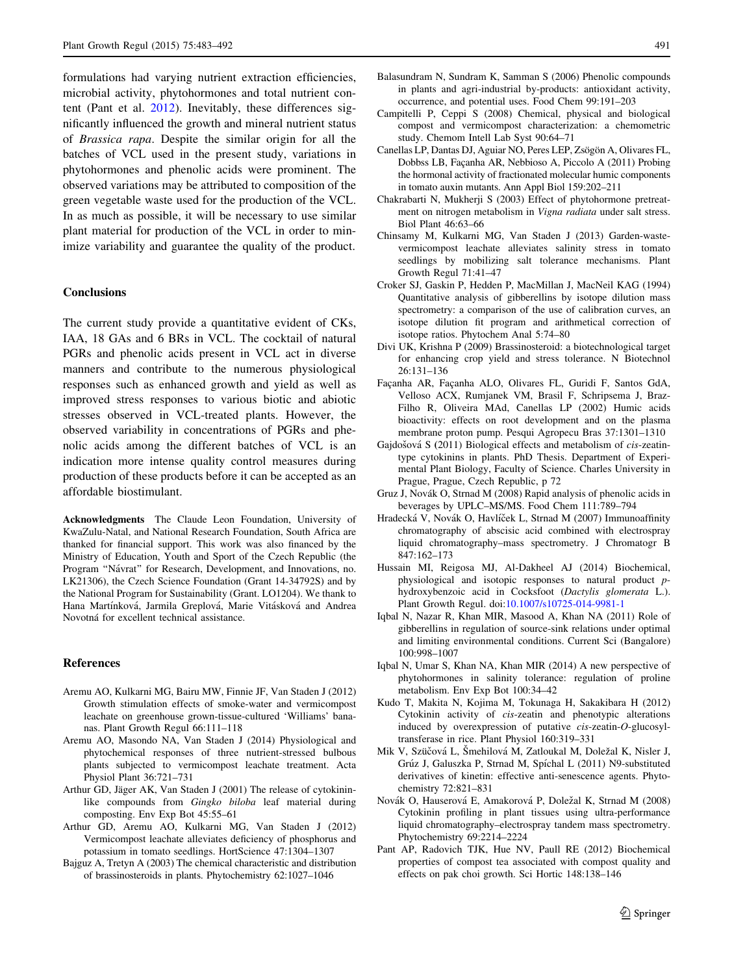<span id="page-8-0"></span>formulations had varying nutrient extraction efficiencies, microbial activity, phytohormones and total nutrient content (Pant et al. 2012). Inevitably, these differences significantly influenced the growth and mineral nutrient status of Brassica rapa. Despite the similar origin for all the batches of VCL used in the present study, variations in phytohormones and phenolic acids were prominent. The observed variations may be attributed to composition of the green vegetable waste used for the production of the VCL. In as much as possible, it will be necessary to use similar plant material for production of the VCL in order to minimize variability and guarantee the quality of the product.

### **Conclusions**

The current study provide a quantitative evident of CKs, IAA, 18 GAs and 6 BRs in VCL. The cocktail of natural PGRs and phenolic acids present in VCL act in diverse manners and contribute to the numerous physiological responses such as enhanced growth and yield as well as improved stress responses to various biotic and abiotic stresses observed in VCL-treated plants. However, the observed variability in concentrations of PGRs and phenolic acids among the different batches of VCL is an indication more intense quality control measures during production of these products before it can be accepted as an affordable biostimulant.

Acknowledgments The Claude Leon Foundation, University of KwaZulu-Natal, and National Research Foundation, South Africa are thanked for financial support. This work was also financed by the Ministry of Education, Youth and Sport of the Czech Republic (the Program "Návrat" for Research, Development, and Innovations, no. LK21306), the Czech Science Foundation (Grant 14-34792S) and by the National Program for Sustainability (Grant. LO1204). We thank to Hana Martínková, Jarmila Greplová, Marie Vitásková and Andrea Novotná for excellent technical assistance.

#### References

- Aremu AO, Kulkarni MG, Bairu MW, Finnie JF, Van Staden J (2012) Growth stimulation effects of smoke-water and vermicompost leachate on greenhouse grown-tissue-cultured 'Williams' bananas. Plant Growth Regul 66:111–118
- Aremu AO, Masondo NA, Van Staden J (2014) Physiological and phytochemical responses of three nutrient-stressed bulbous plants subjected to vermicompost leachate treatment. Acta Physiol Plant 36:721–731
- Arthur GD, Jäger AK, Van Staden J (2001) The release of cytokininlike compounds from Gingko biloba leaf material during composting. Env Exp Bot 45:55–61
- Arthur GD, Aremu AO, Kulkarni MG, Van Staden J (2012) Vermicompost leachate alleviates deficiency of phosphorus and potassium in tomato seedlings. HortScience 47:1304–1307
- Bajguz A, Tretyn A (2003) The chemical characteristic and distribution of brassinosteroids in plants. Phytochemistry 62:1027–1046
- Balasundram N, Sundram K, Samman S (2006) Phenolic compounds in plants and agri-industrial by-products: antioxidant activity, occurrence, and potential uses. Food Chem 99:191–203
- Campitelli P, Ceppi S (2008) Chemical, physical and biological compost and vermicompost characterization: a chemometric study. Chemom Intell Lab Syst 90:64–71
- Canellas LP, Dantas DJ, Aguiar NO, Peres LEP, Zsögön A, Olivares FL, Dobbss LB, Façanha AR, Nebbioso A, Piccolo A (2011) Probing the hormonal activity of fractionated molecular humic components in tomato auxin mutants. Ann Appl Biol 159:202–211
- Chakrabarti N, Mukherji S (2003) Effect of phytohormone pretreatment on nitrogen metabolism in Vigna radiata under salt stress. Biol Plant 46:63–66
- Chinsamy M, Kulkarni MG, Van Staden J (2013) Garden-wastevermicompost leachate alleviates salinity stress in tomato seedlings by mobilizing salt tolerance mechanisms. Plant Growth Regul 71:41–47
- Croker SJ, Gaskin P, Hedden P, MacMillan J, MacNeil KAG (1994) Quantitative analysis of gibberellins by isotope dilution mass spectrometry: a comparison of the use of calibration curves, an isotope dilution fit program and arithmetical correction of isotope ratios. Phytochem Anal 5:74–80
- Divi UK, Krishna P (2009) Brassinosteroid: a biotechnological target for enhancing crop yield and stress tolerance. N Biotechnol 26:131–136
- Facanha AR, Facanha ALO, Olivares FL, Guridi F, Santos GdA, Velloso ACX, Rumjanek VM, Brasil F, Schripsema J, Braz-Filho R, Oliveira MAd, Canellas LP (2002) Humic acids bioactivity: effects on root development and on the plasma membrane proton pump. Pesqui Agropecu Bras 37:1301–1310
- Gajdošová S (2011) Biological effects and metabolism of cis-zeatintype cytokinins in plants. PhD Thesis. Department of Experimental Plant Biology, Faculty of Science. Charles University in Prague, Prague, Czech Republic, p 72
- Gruz J, Novák O, Strnad M (2008) Rapid analysis of phenolic acids in beverages by UPLC–MS/MS. Food Chem 111:789–794
- Hradecká V, Novák O, Havlíček L, Strnad M (2007) Immunoaffinity chromatography of abscisic acid combined with electrospray liquid chromatography–mass spectrometry. J Chromatogr B 847:162–173
- Hussain MI, Reigosa MJ, Al-Dakheel AJ (2014) Biochemical, physiological and isotopic responses to natural product phydroxybenzoic acid in Cocksfoot (Dactylis glomerata L.). Plant Growth Regul. doi:[10.1007/s10725-014-9981-1](http://dx.doi.org/10.1007/s10725-014-9981-1)
- Iqbal N, Nazar R, Khan MIR, Masood A, Khan NA (2011) Role of gibberellins in regulation of source-sink relations under optimal and limiting environmental conditions. Current Sci (Bangalore) 100:998–1007
- Iqbal N, Umar S, Khan NA, Khan MIR (2014) A new perspective of phytohormones in salinity tolerance: regulation of proline metabolism. Env Exp Bot 100:34–42
- Kudo T, Makita N, Kojima M, Tokunaga H, Sakakibara H (2012) Cytokinin activity of cis-zeatin and phenotypic alterations induced by overexpression of putative cis-zeatin-O-glucosyltransferase in rice. Plant Physiol 160:319–331
- Mik V, Szüčová L, Šmehilová M, Zatloukal M, Doležal K, Nisler J, Grúz J, Galuszka P, Strnad M, Spíchal L (2011) N9-substituted derivatives of kinetin: effective anti-senescence agents. Phytochemistry 72:821–831
- Novák O, Hauserová E, Amakorová P, Doležal K, Strnad M (2008) Cytokinin profiling in plant tissues using ultra-performance liquid chromatography–electrospray tandem mass spectrometry. Phytochemistry 69:2214–2224
- Pant AP, Radovich TJK, Hue NV, Paull RE (2012) Biochemical properties of compost tea associated with compost quality and effects on pak choi growth. Sci Hortic 148:138–146